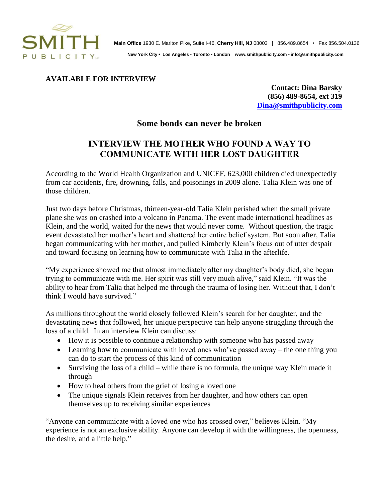

 **New York City • Los Angeles** • **Toronto** • **London www.smithpublicity.com** • i**nfo@smithpublicity.com**

## **AVAILABLE FOR INTERVIEW**

**Contact: Dina Barsky (856) 489-8654, ext 319 [Dina@smithpublicity.com](mailto:Dina@smithpublicity.com)**

## **Some bonds can never be broken**

## **INTERVIEW THE MOTHER WHO FOUND A WAY TO COMMUNICATE WITH HER LOST DAUGHTER**

According to the World Health Organization and UNICEF, 623,000 children died unexpectedly from car accidents, fire, drowning, falls, and poisonings in 2009 alone. Talia Klein was one of those children.

Just two days before Christmas, thirteen-year-old Talia Klein perished when the small private plane she was on crashed into a volcano in Panama. The event made international headlines as Klein, and the world, waited for the news that would never come. Without question, the tragic event devastated her mother's heart and shattered her entire belief system. But soon after, Talia began communicating with her mother, and pulled Kimberly Klein's focus out of utter despair and toward focusing on learning how to communicate with Talia in the afterlife.

"My experience showed me that almost immediately after my daughter's body died, she began trying to communicate with me. Her spirit was still very much alive," said Klein. "It was the ability to hear from Talia that helped me through the trauma of losing her. Without that, I don't think I would have survived."

As millions throughout the world closely followed Klein's search for her daughter, and the devastating news that followed, her unique perspective can help anyone struggling through the loss of a child. In an interview Klein can discuss:

- How it is possible to continue a relationship with someone who has passed away
- Learning how to communicate with loved ones who've passed away the one thing you can do to start the process of this kind of communication
- Surviving the loss of a child while there is no formula, the unique way Klein made it through
- How to heal others from the grief of losing a loved one
- The unique signals Klein receives from her daughter, and how others can open themselves up to receiving similar experiences

"Anyone can communicate with a loved one who has crossed over," believes Klein. "My experience is not an exclusive ability. Anyone can develop it with the willingness, the openness, the desire, and a little help."